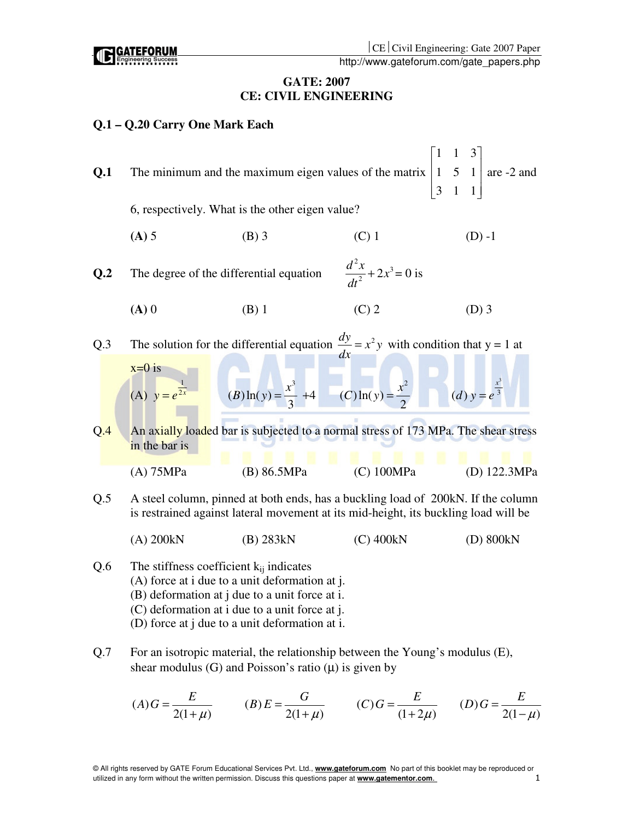CE Civil Engineering: Gate 2007 Paper

http://www.gateforum.com/gate\_papers.php

### **GATE: 2007 CE: CIVIL ENGINEERING**

# **Q.1 – Q.20 Carry One Mark Each**

**ATEFORUM** 

| Q.1 |                                                                                                                                                                         |                                                                                                     |                                   | $\overline{1}$<br>$\overline{1}$<br>$\overline{3}$<br>The minimum and the maximum eigen values of the matrix $\begin{vmatrix} 1 & 5 & 1 \end{vmatrix}$ are -2 and<br>$\overline{3}$<br>$\mathbf{1}$ |  |  |  |
|-----|-------------------------------------------------------------------------------------------------------------------------------------------------------------------------|-----------------------------------------------------------------------------------------------------|-----------------------------------|-----------------------------------------------------------------------------------------------------------------------------------------------------------------------------------------------------|--|--|--|
|     |                                                                                                                                                                         | 6, respectively. What is the other eigen value?                                                     |                                   |                                                                                                                                                                                                     |  |  |  |
|     | $(A)$ 5                                                                                                                                                                 | $(B)$ 3                                                                                             | $(C)$ 1                           | $(D) -1$                                                                                                                                                                                            |  |  |  |
| Q.2 |                                                                                                                                                                         | The degree of the differential equation                                                             | $\frac{d^2x}{dt^2} + 2x^3 = 0$ is |                                                                                                                                                                                                     |  |  |  |
|     | $(A)$ 0                                                                                                                                                                 | $(B)$ 1                                                                                             | $(C)$ 2                           | $(D)$ 3                                                                                                                                                                                             |  |  |  |
| Q.3 |                                                                                                                                                                         | The solution for the differential equation $\frac{dy}{dx} = x^2 y$ with condition that y = 1 at     |                                   |                                                                                                                                                                                                     |  |  |  |
|     | $x=0$ is<br>(A) $y = e^{\frac{1}{2x}}$                                                                                                                                  | (B) $\ln(y) = \frac{x^3}{3} + 4$ (C) $\ln(y) = \frac{x^2}{2}$ (d) $y = e^{\frac{x^3}{3}}$           |                                   |                                                                                                                                                                                                     |  |  |  |
| Q.4 | in the bar is                                                                                                                                                           | An axially loaded bar is subjected to a normal stress of 173 MPa. The shear stress                  |                                   |                                                                                                                                                                                                     |  |  |  |
|     | (A) 75MPa                                                                                                                                                               | (B) 86.5MPa                                                                                         | (C) 100MPa                        | (D) 122.3MPa                                                                                                                                                                                        |  |  |  |
| Q.5 | A steel column, pinned at both ends, has a buckling load of 200kN. If the column<br>is restrained against lateral movement at its mid-height, its buckling load will be |                                                                                                     |                                   |                                                                                                                                                                                                     |  |  |  |
|     | $(A)$ 200 $kN$                                                                                                                                                          | $(B)$ 283 $kN$                                                                                      | $(C)$ 400 $kN$                    | (D) 800kN                                                                                                                                                                                           |  |  |  |
| Q.6 | The stiffness coefficient $k_{ij}$ indicates                                                                                                                            | $(A)$ force at i due to a unit deformation at j.<br>$(D)$ defermation at i due to a unit force at i |                                   |                                                                                                                                                                                                     |  |  |  |

- (B) deformation at j due to a unit force at i.
- (C) deformation at i due to a unit force at j.
- (D) force at j due to a unit deformation at i.
- Q.7 For an isotropic material, the relationship between the Young's modulus (E), shear modulus (G) and Poisson's ratio  $(\mu)$  is given by

$$
(A) G = \frac{E}{2(1+\mu)} \qquad (B) E = \frac{G}{2(1+\mu)} \qquad (C) G = \frac{E}{(1+2\mu)} \qquad (D) G = \frac{E}{2(1-\mu)}
$$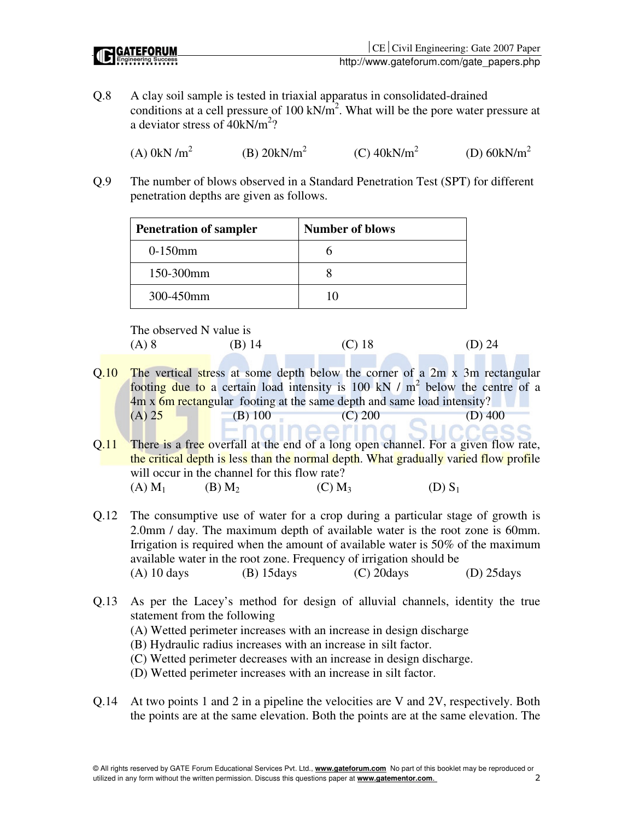| <b>IC GATEFORUM</b> |
|---------------------|
|                     |

Q.8 A clay soil sample is tested in triaxial apparatus in consolidated-drained conditions at a cell pressure of  $100 \text{ kN/m}^2$ . What will be the pore water pressure at a deviator stress of  $40kN/m^2$ ?

 $(A)$  0kN /m<sup>2</sup> (B)  $20kN/m^2$  $(C)$  40kN/m<sup>2</sup> (D)  $60kN/m^2$ 

Q.9 The number of blows observed in a Standard Penetration Test (SPT) for different penetration depths are given as follows.

| <b>Penetration of sampler</b> | <b>Number of blows</b> |
|-------------------------------|------------------------|
| $0-150$ mm                    |                        |
| 150-300mm                     |                        |
| 300-450mm                     | 10                     |

The observed N value is

| $(A)$ 8<br>$(C)$ 18<br>$(B)$ 14 | $(D)$ 24 |
|---------------------------------|----------|

- Q.10 The vertical stress at some depth below the corner of a 2m x 3m rectangular footing due to a certain load intensity is 100 kN  $/$  m<sup>2</sup> below the centre of a 4m x 6m rectangular footing at the same depth and same load intensity? (A)  $25$  (B) 100 (C) 200 (D) 400
- Q.11 There is a free overfall at the end of a long open channel. For a given flow rate, the critical depth is less than the normal depth. What gradually varied flow profile will occur in the channel for this flow rate? (A)  $M_1$  (B)  $M_2$  (C)  $M_3$  (D)  $S_1$
- Q.12 The consumptive use of water for a crop during a particular stage of growth is 2.0mm / day. The maximum depth of available water is the root zone is 60mm. Irrigation is required when the amount of available water is 50% of the maximum available water in the root zone. Frequency of irrigation should be (A) 10 days (B) 15days (C) 20days (D) 25days
- Q.13 As per the Lacey's method for design of alluvial channels, identity the true statement from the following
	- (A) Wetted perimeter increases with an increase in design discharge
	- (B) Hydraulic radius increases with an increase in silt factor.
	- (C) Wetted perimeter decreases with an increase in design discharge.
	- (D) Wetted perimeter increases with an increase in silt factor.
- Q.14 At two points 1 and 2 in a pipeline the velocities are V and 2V, respectively. Both the points are at the same elevation. Both the points are at the same elevation. The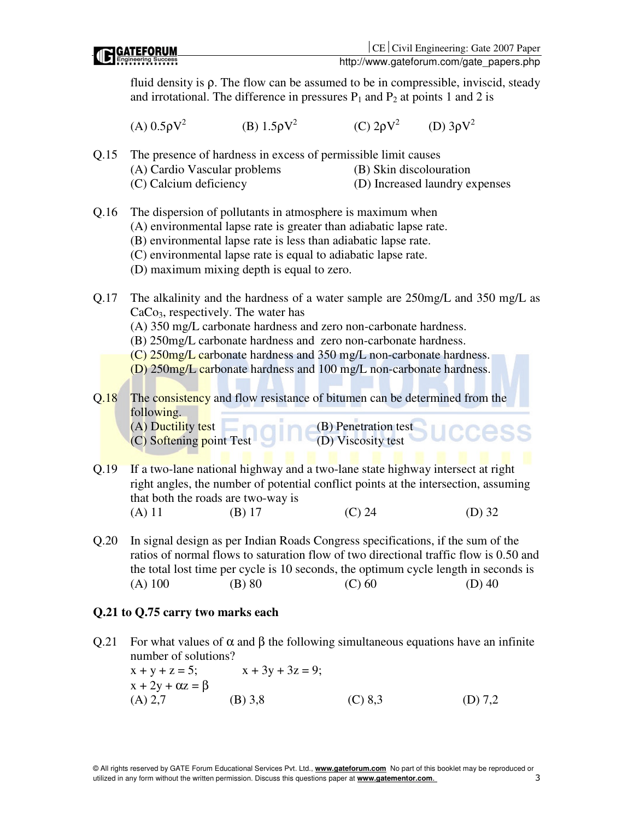# http://www.gateforum.com/gate\_papers.php fluid density is  $\rho$ . The flow can be assumed to be in compressible, inviscid, steady and irrotational. The difference in pressures  $P_1$  and  $P_2$  at points 1 and 2 is (A) 0.5ρ $V^2$ (B) 1.5ρ $V^2$  (C) 2ρV 2 (D) 3ρV 2 Q.15 The presence of hardness in excess of permissible limit causes (A) Cardio Vascular problems (B) Skin discolouration (C) Calcium deficiency (D) Increased laundry expenses Q.16 The dispersion of pollutants in atmosphere is maximum when (A) environmental lapse rate is greater than adiabatic lapse rate. (B) environmental lapse rate is less than adiabatic lapse rate. (C) environmental lapse rate is equal to adiabatic lapse rate. (D) maximum mixing depth is equal to zero. Q.17 The alkalinity and the hardness of a water sample are 250mg/L and 350 mg/L as  $CaCo<sub>3</sub>$ , respectively. The water has (A) 350 mg/L carbonate hardness and zero non-carbonate hardness. (B) 250mg/L carbonate hardness and zero non-carbonate hardness. (C) 250mg/L carbonate hardness and 350 mg/L non-carbonate hardness. (D) 250mg/L carbonate hardness and 100 mg/L non-carbonate hardness. Q.18 The consistency and flow resistance of bitumen can be determined from the following. (A) Ductility test  $\qquad \qquad \qquad$  (B) Penetration test (C) Softening point Test (D) Viscosity test Q.19 If a two-lane national highway and a two-lane state highway intersect at right right angles, the number of potential conflict points at the intersection, assuming that both the roads are two-way is (A) 11 (B) 17 (C) 24 (D) 32 Q.20 In signal design as per Indian Roads Congress specifications, if the sum of the

ratios of normal flows to saturation flow of two directional traffic flow is 0.50 and the total lost time per cycle is 10 seconds, the optimum cycle length in seconds is (A) 100 (B) 80 (C) 60 (D) 40

# **Q.21 to Q.75 carry two marks each**

Q.21 For what values of  $\alpha$  and  $\beta$  the following simultaneous equations have an infinite number of solutions?

 $x + y + z = 5$ ;  $x + 3y + 3z = 9$ ;  $x + 2y + \alpha z = \beta$ (A) 2,7 (B) 3,8 (C) 8,3 (D) 7,2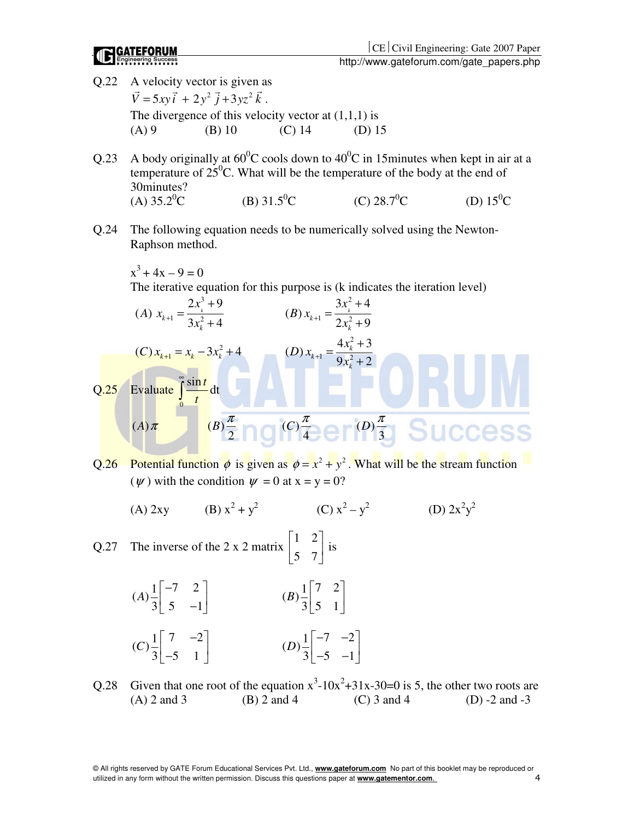- Q.22 A velocity vector is given as  $\vec{V} = 5xy\vec{i} + 2y^2\vec{j} + 3yz^2\vec{k}$ . The divergence of this velocity vector at  $(1,1,1)$  is (A) 9 (B) 10 (C) 14 (D) 15
- Q.23 A body originally at  $60^{\circ}$ C cools down to  $40^{\circ}$ C in 15minutes when kept in air at a temperature of  $25^{\circ}$ C. What will be the temperature of the body at the end of 30minutes?<br>(A)  $35.2$ <sup>0</sup>C (B)  $31.5^{\circ}$ C (C)  $28.7^{\circ}$ C (D)  $15^{\circ}$ C
- Q.24 The following equation needs to be numerically solved using the Newton-Raphson method.

$$
x^3 + 4x - 9 = 0
$$

The iterative equation for this purpose is (k indicates the iteration level)

(A) 
$$
x_{k+1} = \frac{2x_k^3 + 9}{3x_k^2 + 4}
$$
  
\n(B)  $x_{k+1} = \frac{3x_k^2 + 4}{2x_k^2 + 9}$   
\n(C)  $x_{k+1} = x_k - 3x_k^2 + 4$   
\n(D)  $x_{k+1} = \frac{4x_k^2 + 3}{9x_k^2 + 2}$   
\nQ.25 Evaluate  $\int_0^{\infty} \frac{\sin t}{t} dt$   
\n(A)  $\pi$   
\n(B)  $\frac{\pi}{2}$ 

Q.26 Potential function  $\phi$  is given as  $\phi = x^2 + y^2$ . What will be the stream function ( $\psi$ ) with the condition  $\psi = 0$  at  $x = y = 0$ ?

 $(A)$  2xy +  $y^2$  (C)  $x^2 - y^2$  (D)  $2x^2$  $y^2$ 

Q.27 The inverse of the 2 x 2 matrix 1 2 5 7  $\begin{bmatrix} 1 & 2 \end{bmatrix}$  $\begin{bmatrix} 1 & 7 \\ 5 & 7 \end{bmatrix}$  is

(A) 
$$
\frac{1}{3}\begin{bmatrix} -7 & 2 \\ 5 & -1 \end{bmatrix}
$$
  
\n(B)  $\frac{1}{3}\begin{bmatrix} 7 & 2 \\ 5 & 1 \end{bmatrix}$   
\n(C)  $\frac{1}{3}\begin{bmatrix} 7 & -2 \\ -5 & 1 \end{bmatrix}$   
\n(D)  $\frac{1}{3}\begin{bmatrix} -7 & -2 \\ -5 & -1 \end{bmatrix}$ 

Q.28 Given that one root of the equation  $x^3$ -10x<sup>2</sup>+31x-30=0 is 5, the other two roots are (A) 2 and 3 (B) 2 and 4 (C) 3 and 4 (D) -2 and -3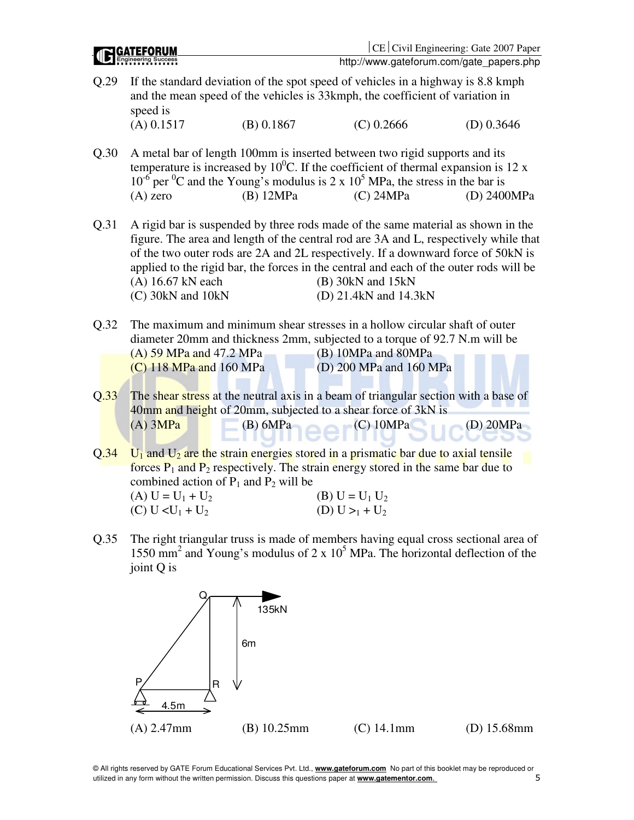|      | Engineering Success                                  |             |                                                                                                                                                                                                                                                                                                                                                                                                        | http://www.gateforum.com/gate_papers.php |
|------|------------------------------------------------------|-------------|--------------------------------------------------------------------------------------------------------------------------------------------------------------------------------------------------------------------------------------------------------------------------------------------------------------------------------------------------------------------------------------------------------|------------------------------------------|
| Q.29 | speed is                                             |             | If the standard deviation of the spot speed of vehicles in a highway is 8.8 kmph<br>and the mean speed of the vehicles is 33kmph, the coefficient of variation in                                                                                                                                                                                                                                      |                                          |
|      | $(A)$ 0.1517                                         | (B) 0.1867  | $(C)$ 0.2666                                                                                                                                                                                                                                                                                                                                                                                           | $(D)$ 0.3646                             |
| Q.30 | $(A)$ zero                                           | (B) 12MPa   | A metal bar of length 100mm is inserted between two rigid supports and its<br>temperature is increased by $10^0$ C. If the coefficient of thermal expansion is 12 x<br>$10^{-6}$ per <sup>0</sup> C and the Young's modulus is 2 x $10^5$ MPa, the stress in the bar is<br>$(C)$ 24MPa                                                                                                                 | (D) 2400MPa                              |
| Q.31 | (A) 16.67 kN each<br>(C) 30kN and 10kN               |             | A rigid bar is suspended by three rods made of the same material as shown in the<br>figure. The area and length of the central rod are 3A and L, respectively while that<br>of the two outer rods are 2A and 2L respectively. If a downward force of 50kN is<br>applied to the rigid bar, the forces in the central and each of the outer rods will be<br>$(B)$ 30kN and 15kN<br>(D) 21.4kN and 14.3kN |                                          |
| Q.32 | (A) 59 MPa and 47.2 MPa<br>$(C)$ 118 MPa and 160 MPa |             | The maximum and minimum shear stresses in a hollow circular shaft of outer<br>diameter 20mm and thickness 2mm, subjected to a torque of 92.7 N.m will be<br>(B) 10MPa and 80MPa<br>(D) 200 MPa and 160 MPa                                                                                                                                                                                             |                                          |
|      |                                                      |             |                                                                                                                                                                                                                                                                                                                                                                                                        |                                          |
| Q.33 | $(A)$ 3MPa                                           | $(B)$ 6MPa  | The shear stress at the neutral axis in a beam of triangular section with a base of<br>40mm and height of 20mm, subjected to a shear force of 3kN is<br>$(C)$ 10MPa                                                                                                                                                                                                                                    | $(D)$ 20MPa                              |
| Q.34 | combined action of $P_1$ and $P_2$ will be           |             | $U_1$ and $U_2$ are the strain energies stored in a prismatic bar due to axial tensile<br>forces $P_1$ and $P_2$ respectively. The strain energy stored in the same bar due to                                                                                                                                                                                                                         |                                          |
|      | (A) $U = U_1 + U_2$<br>(C) $U < U_1 + U_2$           |             | (B) $U = U_1 U_2$<br>(D) $U >_1 + U_2$                                                                                                                                                                                                                                                                                                                                                                 |                                          |
| Q.35 | joint Q is                                           |             | The right triangular truss is made of members having equal cross sectional area of<br>1550 mm <sup>2</sup> and Young's modulus of 2 x $10^5$ MPa. The horizontal deflection of the                                                                                                                                                                                                                     |                                          |
|      | Ρ<br>4.5m                                            | 135kN<br>6m |                                                                                                                                                                                                                                                                                                                                                                                                        |                                          |

**I GATEFORUM** 

© All rights reserved by GATE Forum Educational Services Pvt. Ltd., **www.gateforum.com** No part of this booklet may be reproduced or utilized in any form without the written permission. Discuss this questions paper at **www.gatementor.com**. 5

(A) 2.47mm (B) 10.25mm (C) 14.1mm (D) 15.68mm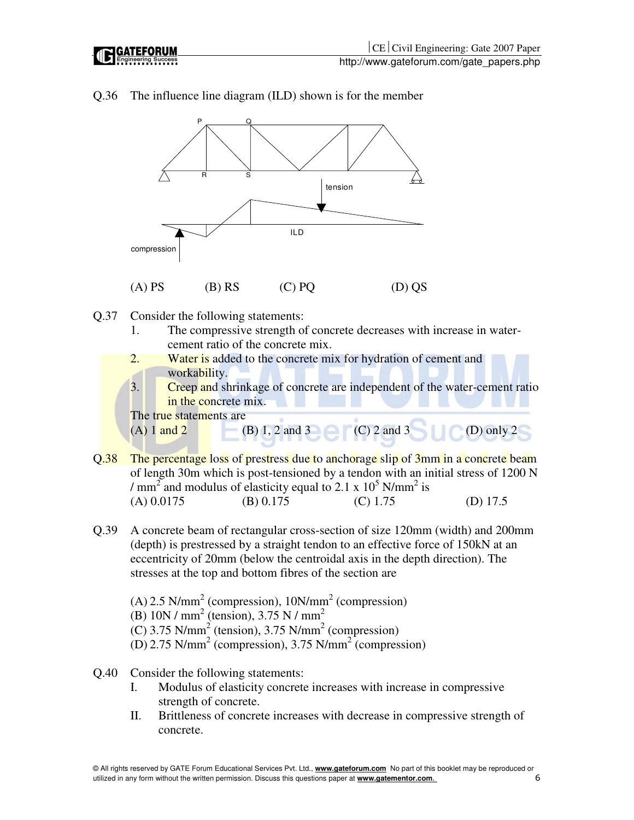

Q.36 The influence line diagram (ILD) shown is for the member

- Q.37 Consider the following statements:
	- 1. The compressive strength of concrete decreases with increase in watercement ratio of the concrete mix.
	- 2. Water is added to the concrete mix for hydration of cement and workability.
	- 3. Creep and shrinkage of concrete are independent of the water-cement ratio in the concrete mix.

The true statements are (A)  $1 \text{ and } 2$  (B) 1, 2 and 3 (C) 2 and 3 (D) only 2

- Q.38 The percentage loss of prestress due to anchorage slip of 3mm in a concrete beam of length 30m which is post-tensioned by a tendon with an initial stress of 1200 N / mm<sup>2</sup> and modulus of elasticity equal to 2.1 x  $10^5$  N/mm<sup>2</sup> is (A) 0.0175 (B) 0.175 (C) 1.75 (D) 17.5
- Q.39 A concrete beam of rectangular cross-section of size 120mm (width) and 200mm (depth) is prestressed by a straight tendon to an effective force of 150kN at an eccentricity of 20mm (below the centroidal axis in the depth direction). The stresses at the top and bottom fibres of the section are

 $(A)$  2.5 N/mm<sup>2</sup> (compression), 10N/mm<sup>2</sup> (compression) (B)  $10N / mm^2$  (tension),  $3.75 N / mm^2$  $(C)$  3.75 N/mm<sup>2</sup> (tension), 3.75 N/mm<sup>2</sup> (compression) (D) 2.75 N/mm<sup>2</sup> (compression), 3.75 N/mm<sup>2</sup> (compression)

- Q.40 Consider the following statements:
	- I. Modulus of elasticity concrete increases with increase in compressive strength of concrete.
	- II. Brittleness of concrete increases with decrease in compressive strength of concrete.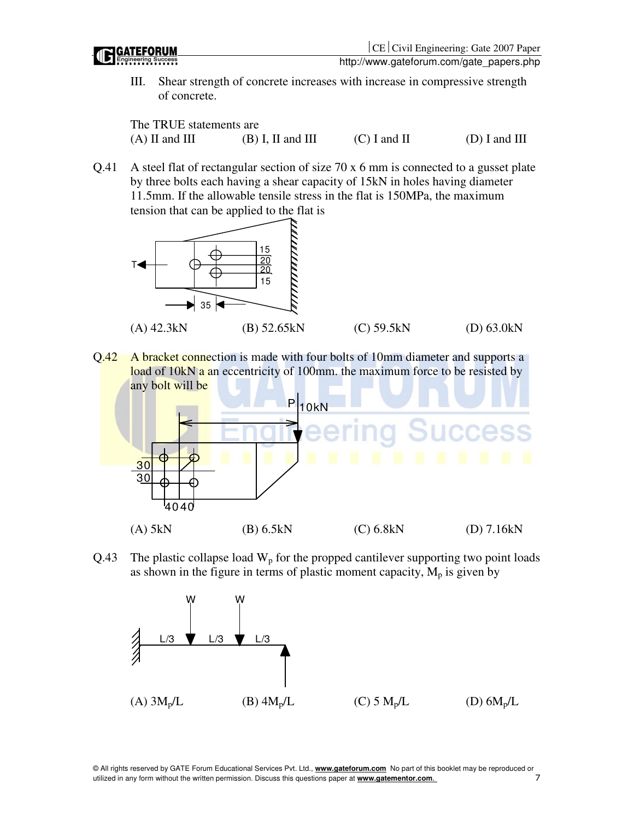

III. Shear strength of concrete increases with increase in compressive strength of concrete.

The TRUE statements are (A) II and III (B) I, II and III (C) I and II (D) I and III

Q.41 A steel flat of rectangular section of size 70 x 6 mm is connected to a gusset plate by three bolts each having a shear capacity of 15kN in holes having diameter 11.5mm. If the allowable tensile stress in the flat is 150MPa, the maximum tension that can be applied to the flat is



Q.42 A bracket connection is made with four bolts of 10mm diameter and supports a load of 10kN a an eccentricity of 100mm. the maximum force to be resisted by any bolt will be



Q.43 The plastic collapse load  $W_p$  for the propped cantilever supporting two point loads as shown in the figure in terms of plastic moment capacity,  $M_p$  is given by



© All rights reserved by GATE Forum Educational Services Pvt. Ltd., **www.gateforum.com** No part of this booklet may be reproduced or utilized in any form without the written permission. Discuss this questions paper at **www.gatementor.com**. 7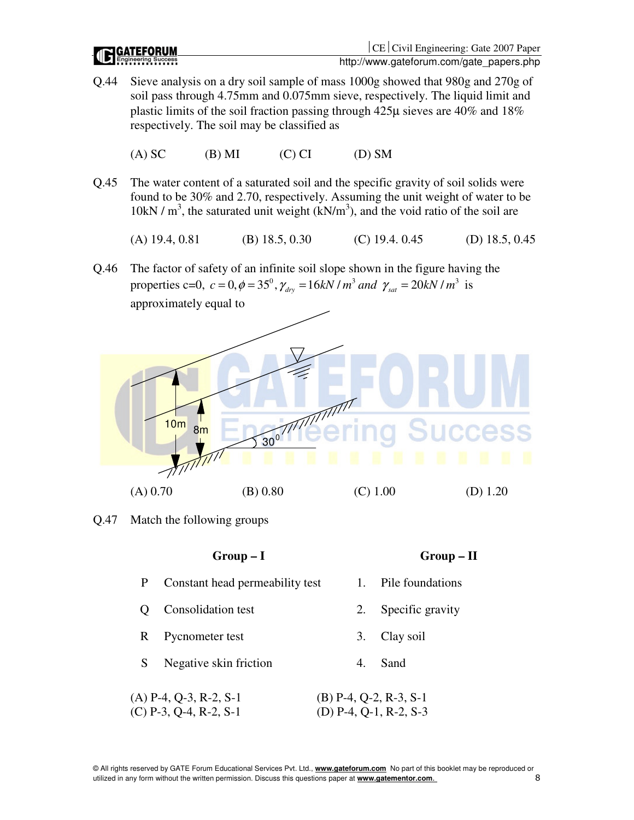**GATEFORUM** 

- Q.44 Sieve analysis on a dry soil sample of mass 1000g showed that 980g and 270g of soil pass through 4.75mm and 0.075mm sieve, respectively. The liquid limit and plastic limits of the soil fraction passing through 425µ sieves are 40% and 18% respectively. The soil may be classified as
	- (A) SC (B) MI (C) CI (D) SM
- Q.45 The water content of a saturated soil and the specific gravity of soil solids were found to be 30% and 2.70, respectively. Assuming the unit weight of water to be  $10kN/m<sup>3</sup>$ , the saturated unit weight  $(kN/m<sup>3</sup>)$ , and the void ratio of the soil are
	- (A) 19.4, 0.81 (B) 18.5, 0.30 (C) 19.4, 0.45 (D) 18.5, 0.45
- Q.46 The factor of safety of an infinite soil slope shown in the figure having the properties c=0,  $c = 0$ ,  $\phi = 35^{\circ}$ ,  $\gamma_{drv} = 16kN/m^3$  *and*  $\gamma_{sat} = 20kN/m^3$  is approximately equal to



Q.47 Match the following groups

|                   | $Group-I$                                            |              | $Group-II$                                         |
|-------------------|------------------------------------------------------|--------------|----------------------------------------------------|
| P                 | Constant head permeability test                      | $\mathbf{1}$ | Pile foundations                                   |
| $\mathbf{\Omega}$ | Consolidation test                                   | 2.           | Specific gravity                                   |
| R                 | Pycnometer test                                      | 3.           | Clay soil                                          |
| S                 | Negative skin friction                               | 4.           | Sand                                               |
|                   | $(A)$ P-4, Q-3, R-2, S-1<br>$(C)$ P-3, Q-4, R-2, S-1 |              | $(B)$ P-4, Q-2, R-3, S-1<br>(D) P-4, Q-1, R-2, S-3 |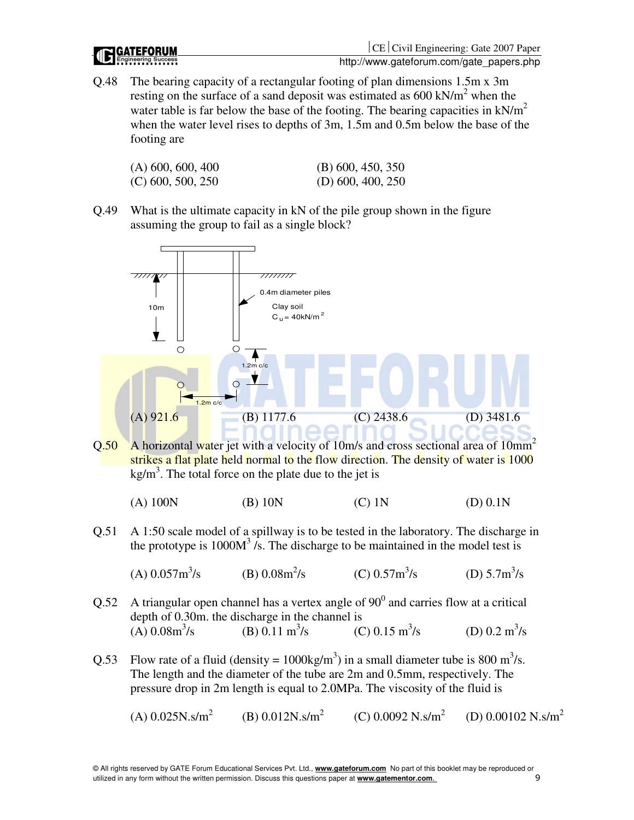



Q.48 The bearing capacity of a rectangular footing of plan dimensions 1.5m x 3m resting on the surface of a sand deposit was estimated as  $600 \text{ kN/m}^2$  when the water table is far below the base of the footing. The bearing capacities in  $kN/m^2$ when the water level rises to depths of 3m, 1.5m and 0.5m below the base of the footing are

| $(A)$ 600, 600, 400 | $(B)$ 600, 450, 350 |
|---------------------|---------------------|
| $(C)$ 600, 500, 250 | $(D)$ 600, 400, 250 |

Q.49 What is the ultimate capacity in kN of the pile group shown in the figure assuming the group to fail as a single block?



 $Q.50$  A horizontal water jet with a velocity of 10m/s and cross sectional area of 10mm<sup>2</sup> strikes a flat plate held normal to the flow direction. The density of water is 1000  $kg/m<sup>3</sup>$ . The total force on the plate due to the jet is

(A) 100N (B) 10N (C) 1N (D) 0.1N

Q.51 A 1:50 scale model of a spillway is to be tested in the laboratory. The discharge in the prototype is  $1000M<sup>3</sup>$  /s. The discharge to be maintained in the model test is

(A) 
$$
0.057 \text{m}^3/\text{s}
$$
 (B)  $0.08 \text{m}^2/\text{s}$  (C)  $0.57 \text{m}^3/\text{s}$  (D)  $5.7 \text{m}^3/\text{s}$ 

- Q.52 A triangular open channel has a vertex angle of  $90^{\circ}$  and carries flow at a critical depth of 0.30m. the discharge in the channel is  $(A) 0.08m^3/s$ (B) 0.11  $\text{m}^3/\text{s}$ (C)  $0.15 \text{ m}^3/\text{s}$ /s (D)  $0.2 \text{ m}^3\text{/s}$
- Q.53 Flow rate of a fluid (density =  $1000 \text{kg/m}^3$ ) in a small diameter tube is 800 m<sup>3</sup>/s. The length and the diameter of the tube are 2m and 0.5mm, respectively. The pressure drop in 2m length is equal to 2.0MPa. The viscosity of the fluid is

 $(A)$  0.025N.s/m<sup>2</sup> (B)  $0.012N$ .s/m<sup>2</sup>  $(C)$  0.0092 N.s/m<sup>2</sup> (D)  $0.00102$  N.s/m<sup>2</sup>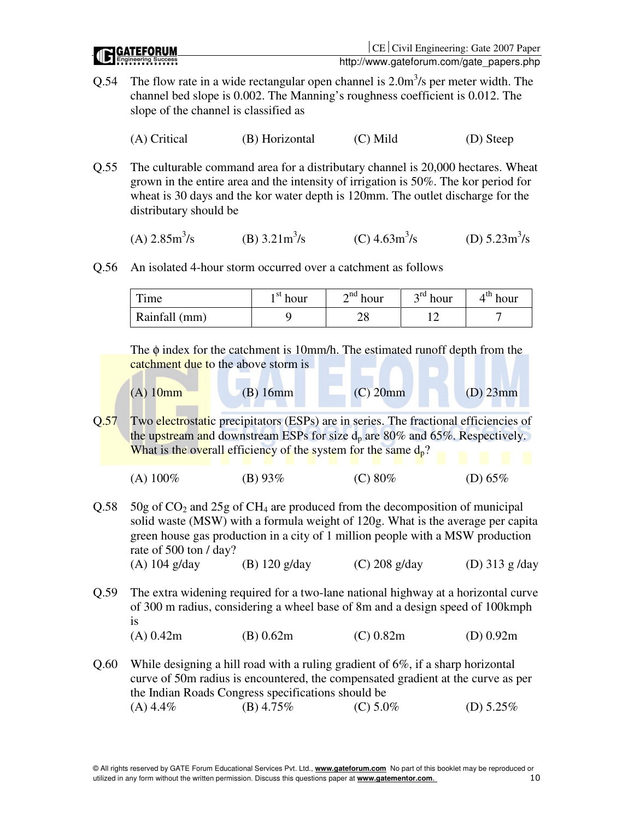- Q.54 The flow rate in a wide rectangular open channel is  $2.0 \text{m}^3/\text{s}$  per meter width. The channel bed slope is 0.002. The Manning's roughness coefficient is 0.012. The slope of the channel is classified as
	- (A) Critical (B) Horizontal (C) Mild (D) Steep
- Q.55 The culturable command area for a distributary channel is 20,000 hectares. Wheat grown in the entire area and the intensity of irrigation is 50%. The kor period for wheat is 30 days and the kor water depth is 120mm. The outlet discharge for the distributary should be

(A) 
$$
2.85 \text{m}^3/\text{s}
$$
 \t\t (B)  $3.21 \text{m}^3/\text{s}$  \t\t (C)  $4.63 \text{m}^3/\text{s}$  \t\t (D)  $5.23 \text{m}^3/\text{s}$ 

Q.56 An isolated 4-hour storm occurred over a catchment as follows

| Time          | $\rightarrow$ <sup>st</sup> hour | $\mathcal{L}^{\text{nd}}$ hour | $\gamma^{\text{rd}}$ hour | $4th$ hour |
|---------------|----------------------------------|--------------------------------|---------------------------|------------|
| Rainfall (mm) |                                  | ∠∪                             |                           |            |

The  $\phi$  index for the catchment is 10mm/h. The estimated runoff depth from the catchment due to the above storm is

| $(A)$ 10 $mm$ | $(B)$ 16mm | $(C)$ 20mm | $(D)$ 23mm |
|---------------|------------|------------|------------|

Q.57 Two electrostatic precipitators (ESPs) are in series. The fractional efficiencies of the upstream and downstream ESPs for size  $d_p$  are 80% and 65%. Respectively. What is the overall efficiency of the system for the same  $d_p$ ?

| (A) $100\%$ | (B) $93\%$ | (C) $80\%$ | (D) $65\%$ |
|-------------|------------|------------|------------|
|             |            |            |            |

 $Q.58$  50g of  $CO<sub>2</sub>$  and 25g of CH<sub>4</sub> are produced from the decomposition of municipal solid waste (MSW) with a formula weight of 120g. What is the average per capita green house gas production in a city of 1 million people with a MSW production rate of 500 ton / day?

```
(A) 104 g/day (B) 120 g/day (C) 208 g/day (D) 313 g /day
```
Q.59 The extra widening required for a two-lane national highway at a horizontal curve of 300 m radius, considering a wheel base of 8m and a design speed of 100kmph is

(A) 0.42m (B) 0.62m (C) 0.82m (D) 0.92m

Q.60 While designing a hill road with a ruling gradient of 6%, if a sharp horizontal curve of 50m radius is encountered, the compensated gradient at the curve as per the Indian Roads Congress specifications should be (A)  $4.4\%$  (B)  $4.75\%$  (C)  $5.0\%$  (D)  $5.25\%$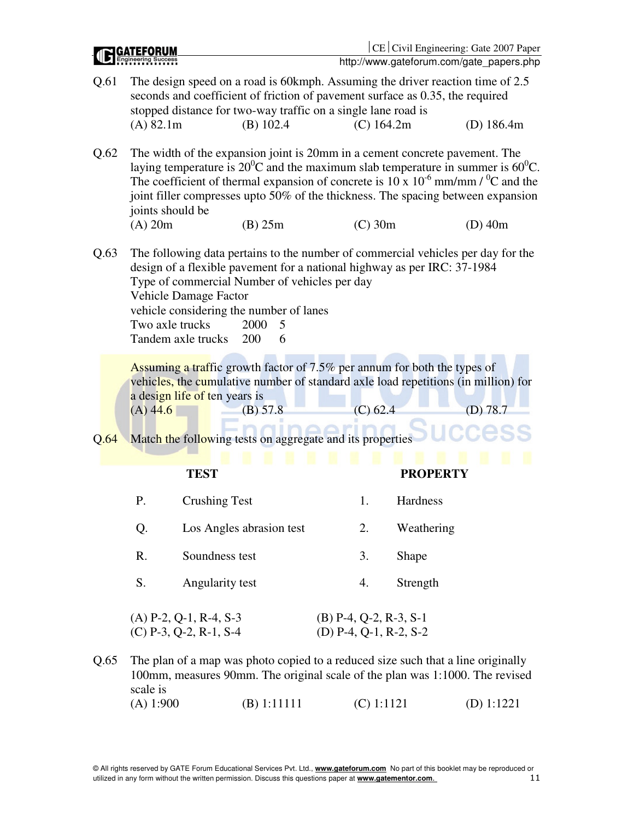|      |                                                                                                                                                                                                                                                                                                                                                     |                                                      |                                                                                                                                                               |  |              |                                                    | CE   Civil Engineering: Gate 2007 Paper<br>http://www.gateforum.com/gate_papers.php                                                                                                                                                                                                                                                                            |  |
|------|-----------------------------------------------------------------------------------------------------------------------------------------------------------------------------------------------------------------------------------------------------------------------------------------------------------------------------------------------------|------------------------------------------------------|---------------------------------------------------------------------------------------------------------------------------------------------------------------|--|--------------|----------------------------------------------------|----------------------------------------------------------------------------------------------------------------------------------------------------------------------------------------------------------------------------------------------------------------------------------------------------------------------------------------------------------------|--|
| Q.61 | (A) 82.1m                                                                                                                                                                                                                                                                                                                                           |                                                      | seconds and coefficient of friction of pavement surface as 0.35, the required<br>stopped distance for two-way traffic on a single lane road is<br>$(B)$ 102.4 |  | $(C)$ 164.2m |                                                    | The design speed on a road is 60kmph. Assuming the driver reaction time of 2.5<br>(D) $186.4m$                                                                                                                                                                                                                                                                 |  |
| Q.62 | joints should be                                                                                                                                                                                                                                                                                                                                    |                                                      |                                                                                                                                                               |  |              |                                                    | The width of the expansion joint is 20mm in a cement concrete pavement. The<br>laying temperature is $20^0$ C and the maximum slab temperature in summer is $60^0$ C.<br>The coefficient of thermal expansion of concrete is 10 x $10^{-6}$ mm/mm / <sup>0</sup> C and the<br>joint filler compresses upto 50% of the thickness. The spacing between expansion |  |
|      | $(A)$ 20m                                                                                                                                                                                                                                                                                                                                           |                                                      | $(B)$ 25m                                                                                                                                                     |  | $(C)$ 30m    |                                                    | $(D)$ 40m                                                                                                                                                                                                                                                                                                                                                      |  |
| Q.63 | The following data pertains to the number of commercial vehicles per day for the<br>design of a flexible pavement for a national highway as per IRC: 37-1984<br>Type of commercial Number of vehicles per day<br>Vehicle Damage Factor<br>vehicle considering the number of lanes<br>Two axle trucks<br>2000<br>5<br>Tandem axle trucks<br>200<br>6 |                                                      |                                                                                                                                                               |  |              |                                                    |                                                                                                                                                                                                                                                                                                                                                                |  |
| Q.64 | $(A)$ 44.6                                                                                                                                                                                                                                                                                                                                          | a design life of ten years is                        | Assuming a traffic growth factor of 7.5% per annum for both the types of<br>(B) 57.8<br>Match the following tests on aggregate and its properties             |  | $(C)$ 62.4   |                                                    | vehicles, the cumulative number of standard axle load repetitions (in million) for<br>(D) 78.7                                                                                                                                                                                                                                                                 |  |
|      |                                                                                                                                                                                                                                                                                                                                                     | <b>TEST</b>                                          |                                                                                                                                                               |  |              | <b>PROPERTY</b>                                    |                                                                                                                                                                                                                                                                                                                                                                |  |
|      | Ρ.                                                                                                                                                                                                                                                                                                                                                  | <b>Crushing Test</b>                                 |                                                                                                                                                               |  | 1.           | <b>Hardness</b>                                    |                                                                                                                                                                                                                                                                                                                                                                |  |
|      | Q.                                                                                                                                                                                                                                                                                                                                                  |                                                      | Los Angles abrasion test                                                                                                                                      |  | 2.           | Weathering                                         |                                                                                                                                                                                                                                                                                                                                                                |  |
|      | R.                                                                                                                                                                                                                                                                                                                                                  | Soundness test                                       |                                                                                                                                                               |  | 3.           | Shape                                              |                                                                                                                                                                                                                                                                                                                                                                |  |
|      | S.                                                                                                                                                                                                                                                                                                                                                  | Angularity test                                      |                                                                                                                                                               |  | 4.           | Strength                                           |                                                                                                                                                                                                                                                                                                                                                                |  |
|      |                                                                                                                                                                                                                                                                                                                                                     | $(A)$ P-2, Q-1, R-4, S-3<br>$(C)$ P-3, Q-2, R-1, S-4 |                                                                                                                                                               |  |              | $(B)$ P-4, Q-2, R-3, S-1<br>(D) P-4, Q-1, R-2, S-2 |                                                                                                                                                                                                                                                                                                                                                                |  |

Q.65 The plan of a map was photo copied to a reduced size such that a line originally 100mm, measures 90mm. The original scale of the plan was 1:1000. The revised scale is (A) 1:900 (B) 1:11111 (C) 1:1121 (D) 1:1221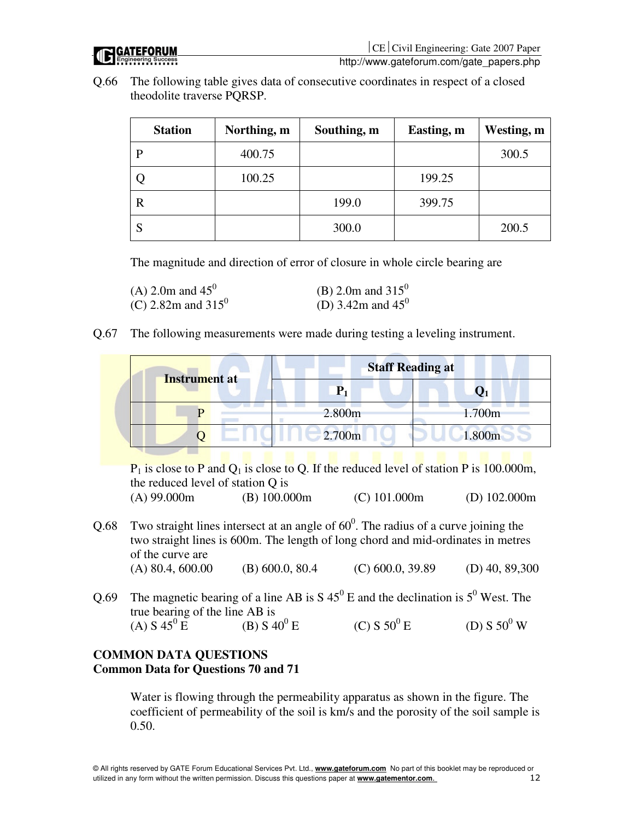

Q.66 The following table gives data of consecutive coordinates in respect of a closed theodolite traverse PQRSP.

| <b>Station</b> | Northing, m | Southing, m | Easting, m | Westing, m |
|----------------|-------------|-------------|------------|------------|
| D              | 400.75      |             |            | 300.5      |
|                | 100.25      |             | 199.25     |            |
| R              |             | 199.0       | 399.75     |            |
|                |             | 300.0       |            | 200.5      |

The magnitude and direction of error of closure in whole circle bearing are

| (A) 2.0m and $45^0$            | (B) 2.0m and 315 <sup>0</sup> |
|--------------------------------|-------------------------------|
| (C) 2.82m and 315 <sup>0</sup> | (D) 3.42m and $45^0$          |

Q.67 The following measurements were made during testing a leveling instrument.

| <b>Instrument at</b> | <b>Staff Reading at</b> |        |
|----------------------|-------------------------|--------|
|                      |                         |        |
|                      | 2.800m                  | 1.700m |
|                      | 2.700m                  | 1.800m |

 $P_1$  is close to P and  $Q_1$  is close to Q. If the reduced level of station P is 100.000m, the reduced level of station Q is

```
(A) 99.000m (B) 100.000m (C) 101.000m (D) 102.000m
```
- Q.68 Two straight lines intersect at an angle of  $60^{\circ}$ . The radius of a curve joining the two straight lines is 600m. The length of long chord and mid-ordinates in metres of the curve are (A) 80.4, 600.00 (B) 600.0, 80.4 (C) 600.0, 39.89 (D) 40, 89,300
- Q.69 The magnetic bearing of a line AB is  $S\ 45^{\circ}$  E and the declination is  $5^{\circ}$  West. The true bearing of the line AB is (A)  $S\ 45^{0}E$  $(B) S 40^{0} E$  $(C) S 50^{0} E$ E (D) S  $50^0$  W

# **COMMON DATA QUESTIONS Common Data for Questions 70 and 71**

Water is flowing through the permeability apparatus as shown in the figure. The coefficient of permeability of the soil is km/s and the porosity of the soil sample is 0.50.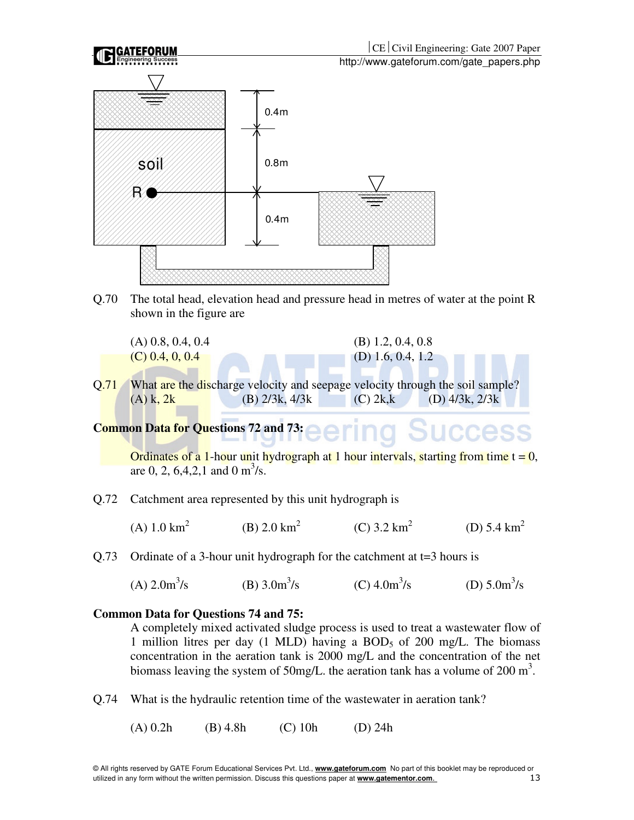

Q.70 The total head, elevation head and pressure head in metres of water at the point R shown in the figure are

 $(A)$  0.8, 0.4, 0.4 (B) 1.2, 0.4, 0.8

- $(C)$  0.4, 0, 0.4 (D) 1.6, 0.4, 1.2
- Q.71 What are the discharge velocity and seepage velocity through the soil sample? (A) k, 2k (B)  $2/3k$ ,  $4/3k$  (C)  $2k$ ,k (D)  $4/3k$ ,  $2/3k$

**Common Data for Questions 72 and 73: UCCESS** 

Ordinates of a 1-hour unit hydrograph at 1 hour intervals, starting from time  $t = 0$ , are 0, 2, 6,4,2,1 and 0 m<sup>3</sup>/s.

Q.72 Catchment area represented by this unit hydrograph is

(A)  $1.0 \text{ km}^2$ (B)  $2.0 \text{ km}^2$  $(C)$  3.2 km<sup>2</sup> (D)  $5.4 \text{ km}^2$ 

Q.73 Ordinate of a 3-hour unit hydrograph for the catchment at t=3 hours is

 $(A) 2.0m^3/s$ (B)  $3.0m^3/s$  $(C)$  4.0m<sup>3</sup>/s /s (D)  $5.0 \text{m}^3/\text{s}$ 

### **Common Data for Questions 74 and 75:**

A completely mixed activated sludge process is used to treat a wastewater flow of 1 million litres per day (1 MLD) having a BOD<sub>5</sub> of 200 mg/L. The biomass concentration in the aeration tank is 2000 mg/L and the concentration of the net biomass leaving the system of 50mg/L. the aeration tank has a volume of 200  $m^3$ .

Q.74 What is the hydraulic retention time of the wastewater in aeration tank?

(A) 0.2h (B) 4.8h (C) 10h (D) 24h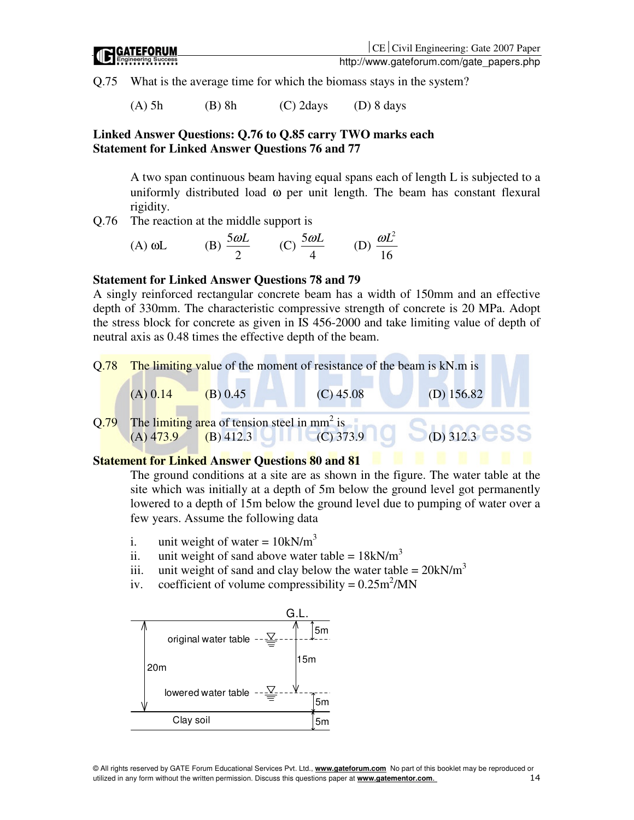Q.75 What is the average time for which the biomass stays in the system?

(A) 5h (B) 8h (C) 2days (D) 8 days

## **Linked Answer Questions: Q.76 to Q.85 carry TWO marks each Statement for Linked Answer Questions 76 and 77**

A two span continuous beam having equal spans each of length L is subjected to a uniformly distributed load ω per unit length. The beam has constant flexural rigidity.

Q.76 The reaction at the middle support is

(A) 
$$
\omega L
$$
 (B)  $\frac{5\omega L}{2}$  (C)  $\frac{5\omega L}{4}$  (D)  $\frac{\omega L^2}{16}$ 

### **Statement for Linked Answer Questions 78 and 79**

A singly reinforced rectangular concrete beam has a width of 150mm and an effective depth of 330mm. The characteristic compressive strength of concrete is 20 MPa. Adopt the stress block for concrete as given in IS 456-2000 and take limiting value of depth of neutral axis as 0.48 times the effective depth of the beam.



# **Statement for Linked Answer Questions 80 and 81**

The ground conditions at a site are as shown in the figure. The water table at the site which was initially at a depth of 5m below the ground level got permanently lowered to a depth of 15m below the ground level due to pumping of water over a few years. Assume the following data

- i. unit weight of water =  $10kN/m<sup>3</sup>$
- ii. unit weight of sand above water table =  $18kN/m<sup>3</sup>$
- iii. unit weight of sand and clay below the water table =  $20kN/m<sup>3</sup>$
- iv. coefficient of volume compressibility =  $0.25 \text{m}^2/\text{MN}$